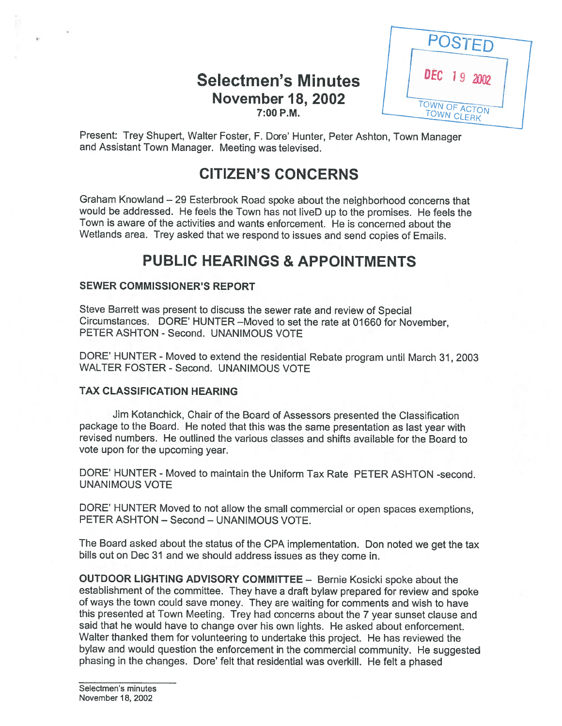### Selectmen's Minutes November 18, 2002 7:00 P.M.



Present: Trey Shupert, Walter Foster, F. Dare' Hunter, Peter Ashton, Town Manager and Assistant Town Manager. Meeting was televised.

## CITIZEN'S CONCERNS

Graham Knowland — <sup>29</sup> Esterbrook Road spoke about the neighborhood concerns that would be addressed. He feels the Town has not liveD up to the promises. He feels the Town is aware of the activities and wants enforcement. He is concerned about the Wetlands area. Trey asked that we respon<sup>d</sup> to issues and send copies of Emails.

## PUBLIC HEARINGS & APPOINTMENTS

#### SEWER COMMISSIONER'S REPORT

Steve Barrett was presen<sup>t</sup> to discuss the sewer rate and review of Special Circumstances. DORE' HUNTER —Moved to set the rate at 01660 for November, PETER ASHTON - Second. UNANIMOUS VOTE

DORE' HUNTER - Moved to extend the residential Rebate program until March 31, 2003 WALTER FOSTER - Second. UNANIMOUS VOTE

#### TAX CLASSIFICATION HEARING

Jim Kotanchick, Chair of the Board of Assessors presented the Classification package to the Board. He noted that this was the same presentation as last year with revised numbers. He outlined the various classes and shifts available for the Board to vote upon for the upcoming year.

DORE' HUNTER - Moved to maintain the Uniform Tax Rate PETER ASHTON -second. UNANIMOUS VOTE

DORE' HUNTER Moved to not allow the small commercial or open spaces exemptions, PETER ASHTON — Second — UNANIMOUS VOTE.

The Board asked about the status of the CPA implementation. Don noted we ge<sup>t</sup> the tax bills out on Dec <sup>31</sup> and we should address issues as they come in.

OUTDOOR LIGHTING ADVISORY COMMITTEE — Bernie Kosicki spoke about the establishment of the committee. They have <sup>a</sup> draft bylaw prepare<sup>d</sup> for review and spoke of ways the town could save money. They are waiting for comments and wish to have this presented at Town Meeting. Trey had concerns about the <sup>7</sup> year sunset clause and said that he would have to change over his own lights. He asked about enforcement. Walter thanked them for volunteering to undertake this project. He has reviewed the bylaw and would question the enforcement in the commercial community. He suggested phasing in the changes. Dore' felt that residential was overkill. He felt a phased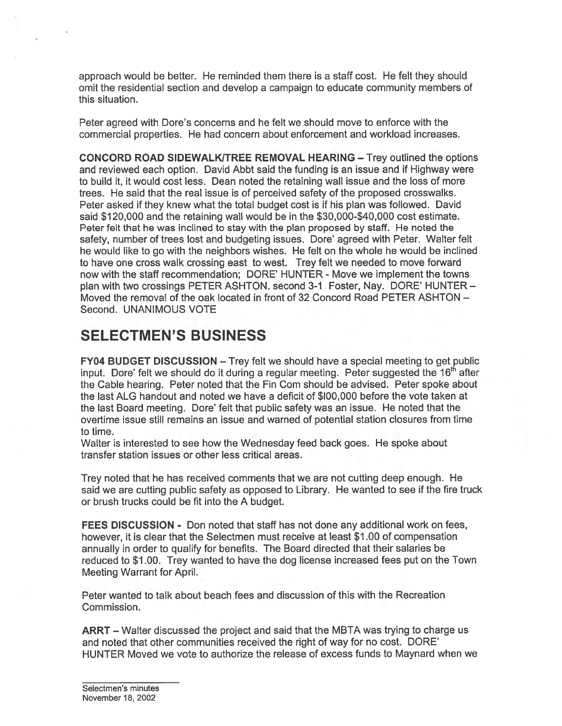approach would be better. He reminded them there is <sup>a</sup> staff cost. He felt they should omit the residential section and develop <sup>a</sup> campaign to educate community members of this situation.

Peter agreed with Dore's concerns and he felt we should move to enforce with the commercial properties. He had concern about enforcement and workload increases.

CONCORD ROAD SIDEWALK/TREE REMOVAL HEARING — Trey outlined the options and reviewed each option. David Abbt said the funding is an issue and if Highway were to build it, it would cost less. Dean noted the retaining wall issue and the loss of more trees. He said that the real issue is of perceived safety of the proposed crosswalks. Peter asked if they knew what the total budget cost is if his plan was followed. David said \$120,000 and the retaining wall would be in the \$30,000-\$40,000 cost estimate. Peter felt that he was inclined to stay with the plan proposed by staff. He noted the safety, number of trees lost and budgeting issues. Dore' agreed with Peter. Walter felt he would like to go with the neighbors wishes. He felt on the whole he would be inclined to have one cross walk crossing east to west. Trey felt we needed to move forward now with the staff recommendation; DORE' HUNTER - Move we implement the towns plan with two crossings PETER ASHTON. second 3-1 Foster, Nay. DORE' HUNTER — Moved the removal of the oak located in front of 32 Concord Road PETER ASHTON — Second. UNANIMOUS VOTE

## SELECTMEN'S BUSINESS

FY04 BUDGET DISCUSSION — Trey felt we should have <sup>a</sup> special meeting to ge<sup>t</sup> public input. Dore' felt we should do it during a regular meeting. Peter suggested the  $16<sup>th</sup>$  after the Cable hearing. Peter noted that the Fin Corn should be advised. Peter spoke about the last ALG handout and noted we have <sup>a</sup> deficit of \$100,000 before the vote taken at the last Board meeting. Dore' felt that public safety was an issue. He noted that the overtime issue still remains an issue and warned of potential station closures from time to time.

Walter is interested to see how the Wednesday feed back goes. He spoke about transfer station issues or other less critical areas.

Trey noted that he has received comments that we are not cutting deep enough. He said we are cutting public safety as opposed to Library. He wanted to see if the fire truck or brush trucks could be fit into the A budget.

FEES DISCUSSION - Don noted that staff has not done any additional work on fees, however, it is clear that the Selectmen must receive at least \$1 .00 of compensation annually in order to qualify for benefits. The Board directed that their salaries be reduced to \$1.00. Trey wanted to have the dog license increased fees pu<sup>t</sup> on the Town Meeting Warrant for April.

Peter wanted to talk about beach fees and discussion of this with the Recreation Commission.

ARRT — Walter discussed the project and said that the MBTA was trying to charge us and noted that other communities received the right of way for no cost. DORE' HUNTER Moved we vote to authorize the release of excess funds to Maynard when we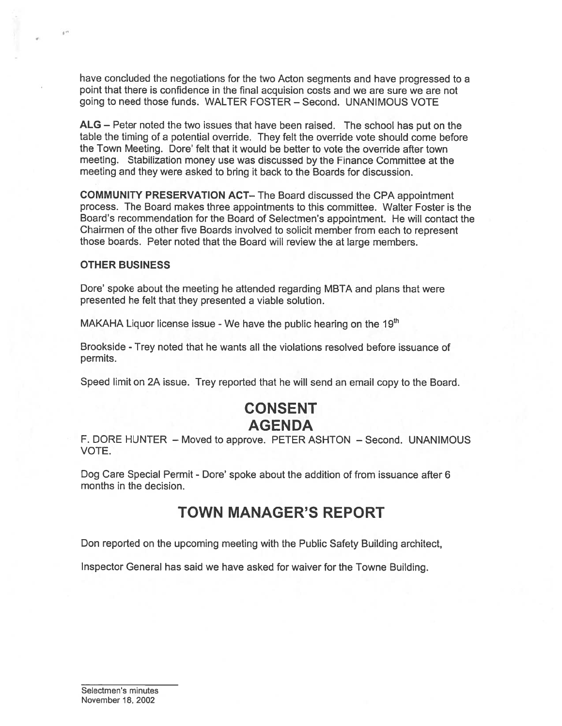have concluded the negotiations for the two Acton segments and have progressed to <sup>a</sup> point that there is confidence in the final acquision costs and we are sure we are not going to need those funds. WALTER FOSTER — Second. UNANIMOUS VOTE

ALG — Peter noted the two issues that have been raised. The school has pu<sup>t</sup> on the table the timing of <sup>a</sup> potential override. They felt the override vote should come before the Town Meeting. Dote' felt that it would be better to vote the override after town meeting. Stabilization money use was discussed by the Finance Committee at the meeting and they were asked to bring it back to the Boards for discussion.

COMMUNITY PRESERVATION ACT— The Board discussed the CPA appointment process. The Board makes three appointments to this committee. Walter Foster is the Board's recommendation for the Board of Selectmen's appointment. He will contact the Chairmen of the other five Boards involved to solicit member from each to represen<sup>t</sup> those boards. Peter noted that the Board will review the at large members.

#### OTHER BUSINESS

 $\pm$   $^{th}$ 

Dote' spoke about the meeting he attended regarding MBTA and <sup>p</sup>lans that were presented he felt that they presented <sup>a</sup> viable solution.

MAKAHA Liquor license issue - We have the public hearing on the  $19<sup>th</sup>$ 

Brookside -Trey noted that he wants all the violations resolved before issuance of permits.

Speed limit on 2A issue. Trey reported that he will send an email copy to the Board.

## CONSENT AGENDA

F. DORE HUNTER — Moved to approve. PETER ASHTON — Second. UNANIMOUS VOTE.

Dog Care Special Permit - Dote' spoke about the addition of from issuance after 6 months in the decision.

### TOWN MANAGER'S REPORT

Don reported on the upcoming meeting with the Public Safety Building architect,

Inspector General has said we have asked for waiver for the Towne Building.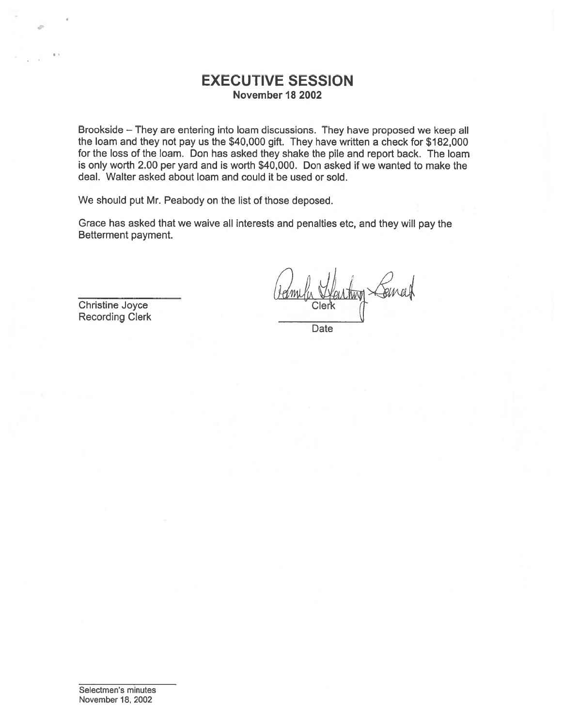#### EXECUTIVE SESSION November 18 2002

Brookside — They are entering into loam discussions. They have propose<sup>d</sup> we keep all the loam and they not pay us the \$40,000 gift. They have written <sup>a</sup> check for \$182,000 for the loss of the loam. Don has asked they shake the pile and repor<sup>t</sup> back. The loam is only worth 2.00 per yard and is worth \$40,000. Don asked if we wanted to make the deal. Walter asked about loam and could it be used or sold.

We should pu<sup>t</sup> Mr. Peabody on the list of those deposed.

Grace has asked that we waive all interests and penalties etc, and they will pay the Betterment payment.

Christine Joyce Recording Clerk

Date

Selectmen's minutes November 18, 2002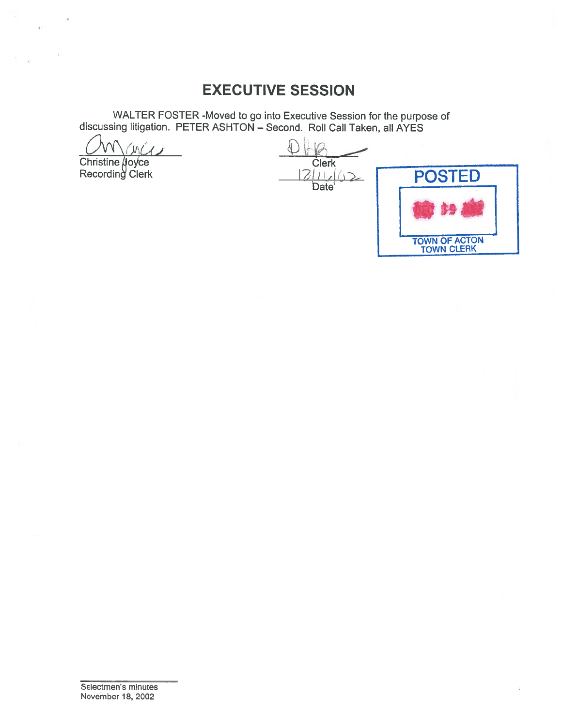## EXECUTIVE SESSION

WALTER FOSTER -Moved to go into Executive Session for the purpose of discussing litigation. PETER ASHTON — Second. Roll Call Taken, all AYES

 $ML$ 

Recording Clerk  $\begin{array}{ccc} & & & \end{array}$ 

 $\bigoplus$ Christine µoyce Clerk Date<sup>'</sup>

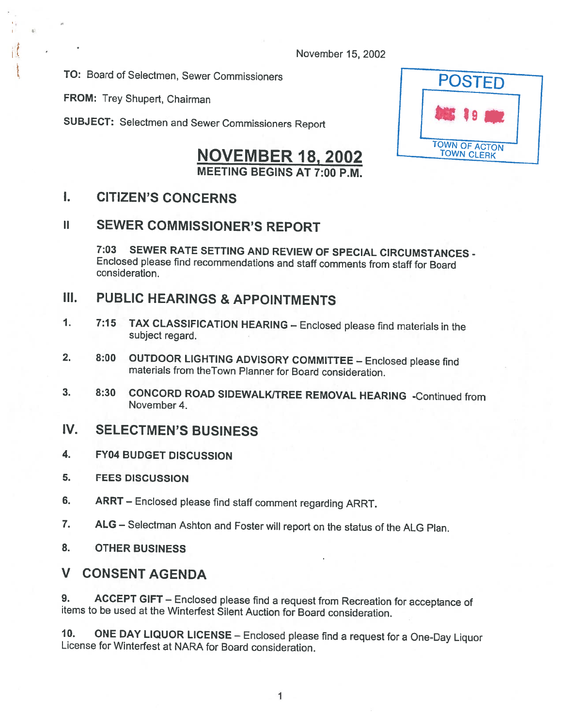November 15, 2002

TO: Board of Selectmen, Sewer Commissioners **POSTED** 

FROM: Trey Shupert, Chairman

I

SUBJECT: Selectmen and Sewer Commissioners Report

# NOVEMBER 18, 2002 TOWN OF ACTON MEETING BEGINS AT 7:00 P.M.

### I. CITIZEN'S CONCERNS

### ii SEWER COMMISSIONER'S REPORT

7:03 SEWER RATE SETTING AND REVIEW OF SPECIAL CIRCUMSTANCES - Enclosed <sup>p</sup>lease find recommendations and staff comments from staff for Board consideration.

### III. PUBLIC HEARINGS & APPOINTMENTS

- 1. 7:15 TAX CLASSIFICATION HEARING Enclosed <sup>p</sup>lease find materials in the subject regard.
- 2. 8:00 OUTDOOR LIGHTING ADVISORY COMMITTEE Enclosed <sup>p</sup>lease find materials from theTown Planner for Board consideration.
- 3. 8:30 CONCORD ROAD SIDEWALKITREE REMOVAL HEARING -Continued from November 4.

### IV. SELECTMEN'S BUSINESS

- 4. FY04 BUDGET DISCUSSION
- 5. FEES DISCUSSION
- 6. ARRT Enclosed <sup>p</sup>lease find staff comment regarding ARRT.
- 7. ALG Selectman Ashton and Foster will report on the status of the ALG Plan.
- 8. OTHER BUSINESS

#### V CONSENT AGENDA

9. ACCEPT GIFT – Enclosed please find a request from Recreation for acceptance of items to be used at the Winterfest Silent Auction for Board consideration.

10. ONE DAY LIQUOR LICENSE — Enclosed <sup>p</sup>lease find <sup>a</sup> request for <sup>a</sup> One-Day Liquor License for Winterfest at NARA for Board consideration.